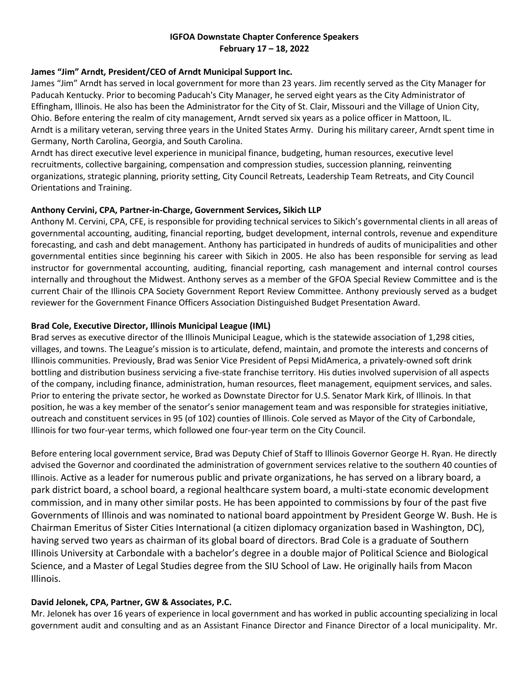## **IGFOA Downstate Chapter Conference Speakers February 17 – 18, 2022**

## **James "Jim" Arndt, President/CEO of Arndt Municipal Support Inc.**

James "Jim" Arndt has served in local government for more than 23 years. Jim recently served as the City Manager for Paducah Kentucky. Prior to becoming Paducah's City Manager, he served eight years as the City Administrator of Effingham, Illinois. He also has been the Administrator for the City of St. Clair, Missouri and the Village of Union City, Ohio. Before entering the realm of city management, Arndt served six years as a police officer in Mattoon, IL. Arndt is a military veteran, serving three years in the United States Army. During his military career, Arndt spent time in Germany, North Carolina, Georgia, and South Carolina.

Arndt has direct executive level experience in municipal finance, budgeting, human resources, executive level recruitments, collective bargaining, compensation and compression studies, succession planning, reinventing organizations, strategic planning, priority setting, City Council Retreats, Leadership Team Retreats, and City Council Orientations and Training.

## **Anthony Cervini, CPA, Partner-in-Charge, Government Services, Sikich LLP**

Anthony M. Cervini, CPA, CFE, is responsible for providing technical services to Sikich's governmental clients in all areas of governmental accounting, auditing, financial reporting, budget development, internal controls, revenue and expenditure forecasting, and cash and debt management. Anthony has participated in hundreds of audits of municipalities and other governmental entities since beginning his career with Sikich in 2005. He also has been responsible for serving as lead instructor for governmental accounting, auditing, financial reporting, cash management and internal control courses internally and throughout the Midwest. Anthony serves as a member of the GFOA Special Review Committee and is the current Chair of the Illinois CPA Society Government Report Review Committee. Anthony previously served as a budget reviewer for the Government Finance Officers Association Distinguished Budget Presentation Award.

# **Brad Cole, Executive Director, Illinois Municipal League (IML)**

Brad serves as executive director of the Illinois Municipal League, which is the statewide association of 1,298 cities, villages, and towns. The League's mission is to articulate, defend, maintain, and promote the interests and concerns of Illinois communities. Previously, Brad was Senior Vice President of Pepsi MidAmerica, a privately-owned soft drink bottling and distribution business servicing a five-state franchise territory. His duties involved supervision of all aspects of the company, including finance, administration, human resources, fleet management, equipment services, and sales. Prior to entering the private sector, he worked as Downstate Director for U.S. Senator Mark Kirk, of Illinois. In that position, he was a key member of the senator's senior management team and was responsible for strategies initiative, outreach and constituent services in 95 (of 102) counties of Illinois. Cole served as Mayor of the City of Carbondale, Illinois for two four-year terms, which followed one four-year term on the City Council.

Before entering local government service, Brad was Deputy Chief of Staff to Illinois Governor George H. Ryan. He directly advised the Governor and coordinated the administration of government services relative to the southern 40 counties of Illinois. Active as a leader for numerous public and private organizations, he has served on a library board, a park district board, a school board, a regional healthcare system board, a multi-state economic development commission, and in many other similar posts. He has been appointed to commissions by four of the past five Governments of Illinois and was nominated to national board appointment by President George W. Bush. He is Chairman Emeritus of Sister Cities International (a citizen diplomacy organization based in Washington, DC), having served two years as chairman of its global board of directors. Brad Cole is a graduate of Southern Illinois University at Carbondale with a bachelor's degree in a double major of Political Science and Biological Science, and a Master of Legal Studies degree from the SIU School of Law. He originally hails from Macon Illinois.

# **David Jelonek, CPA, Partner, GW & Associates, P.C.**

Mr. Jelonek has over 16 years of experience in local government and has worked in public accounting specializing in local government audit and consulting and as an Assistant Finance Director and Finance Director of a local municipality. Mr.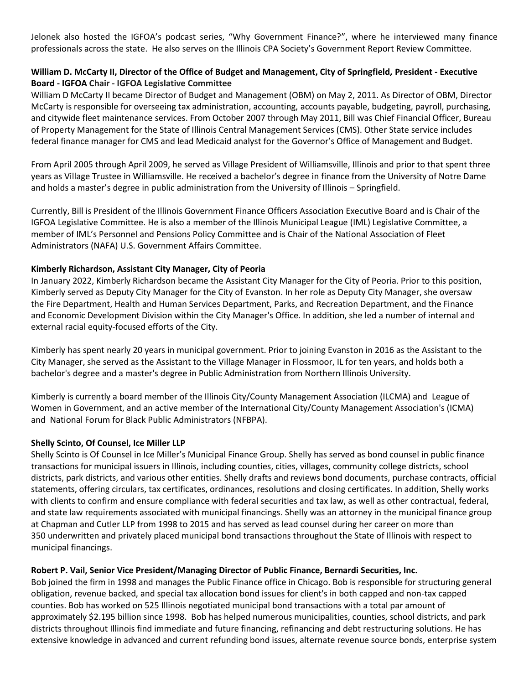Jelonek also hosted the IGFOA's podcast series, "Why Government Finance?", where he interviewed many finance professionals across the state. He also serves on the Illinois CPA Society's Government Report Review Committee.

## **William D. McCarty II, Director of the Office of Budget and Management, City of Springfield***,* **President - Executive Board - IGFOA Chair - IGFOA Legislative Committee**

William D McCarty II became Director of Budget and Management (OBM) on May 2, 2011. As Director of OBM, Director McCarty is responsible for overseeing tax administration, accounting, accounts payable, budgeting, payroll, purchasing, and citywide fleet maintenance services. From October 2007 through May 2011, Bill was Chief Financial Officer, Bureau of Property Management for the State of Illinois Central Management Services (CMS). Other State service includes federal finance manager for CMS and lead Medicaid analyst for the Governor's Office of Management and Budget.

From April 2005 through April 2009, he served as Village President of Williamsville, Illinois and prior to that spent three years as Village Trustee in Williamsville. He received a bachelor's degree in finance from the University of Notre Dame and holds a master's degree in public administration from the University of Illinois – Springfield.

Currently, Bill is President of the Illinois Government Finance Officers Association Executive Board and is Chair of the IGFOA Legislative Committee. He is also a member of the Illinois Municipal League (IML) Legislative Committee, a member of IML's Personnel and Pensions Policy Committee and is Chair of the National Association of Fleet Administrators (NAFA) U.S. Government Affairs Committee.

## **Kimberly Richardson, Assistant City Manager, City of Peoria**

In January 2022, Kimberly Richardson became the Assistant City Manager for the City of Peoria. Prior to this position, Kimberly served as Deputy City Manager for the City of Evanston. In her role as Deputy City Manager, she oversaw the Fire Department, Health and Human Services Department, Parks, and Recreation Department, and the Finance and Economic Development Division within the City Manager's Office. In addition, she led a number of internal and external racial equity-focused efforts of the City.

Kimberly has spent nearly 20 years in municipal government. Prior to joining Evanston in 2016 as the Assistant to the City Manager, she served as the Assistant to the Village Manager in Flossmoor, IL for ten years, and holds both a bachelor's degree and a master's degree in Public Administration from Northern Illinois University.

Kimberly is currently a board member of the Illinois City/County Management Association (ILCMA) and League of Women in Government, and an active member of the International City/County Management Association's (ICMA) and National Forum for Black Public Administrators (NFBPA).

#### **Shelly Scinto, Of Counsel, Ice Miller LLP**

Shelly Scinto is Of Counsel in Ice Miller's Municipal Finance Group. Shelly has served as bond counsel in public finance transactions for municipal issuers in Illinois, including counties, cities, villages, community college districts, school districts, park districts, and various other entities. Shelly drafts and reviews bond documents, purchase contracts, official statements, offering circulars, tax certificates, ordinances, resolutions and closing certificates. In addition, Shelly works with clients to confirm and ensure compliance with federal securities and tax law, as well as other contractual, federal, and state law requirements associated with municipal financings. Shelly was an attorney in the municipal finance group at Chapman and Cutler LLP from 1998 to 2015 and has served as lead counsel during her career on more than 350 underwritten and privately placed municipal bond transactions throughout the State of Illinois with respect to municipal financings.

#### **Robert P. Vail, Senior Vice President/Managing Director of Public Finance, Bernardi Securities, Inc.**

Bob joined the firm in 1998 and manages the Public Finance office in Chicago. Bob is responsible for structuring general obligation, revenue backed, and special tax allocation bond issues for client's in both capped and non-tax capped counties. Bob has worked on 525 Illinois negotiated municipal bond transactions with a total par amount of approximately \$2.195 billion since 1998. Bob has helped numerous municipalities, counties, school districts, and park districts throughout Illinois find immediate and future financing, refinancing and debt restructuring solutions. He has extensive knowledge in advanced and current refunding bond issues, alternate revenue source bonds, enterprise system